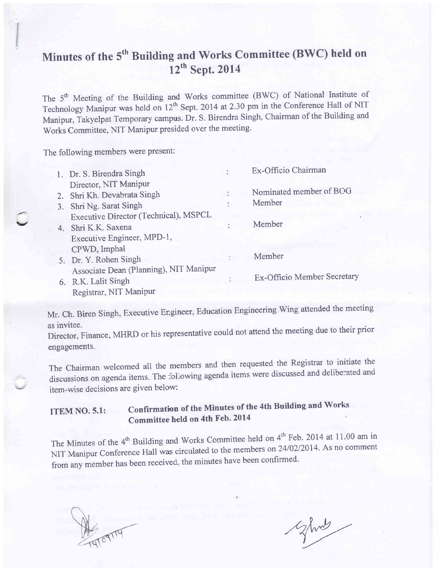# Minutes of the 5<sup>th</sup> Building and Works Committee (BWC) held on  $12^{th}$  Sept. 2014

The 5<sup>th</sup> Meeting of the Building and Works committee (BWC) of National Institute of Technology Manipur was held on 12<sup>th</sup> Sept. 2014 at 2.30 pm in the Conference Hall of NIT Manipur, Takyelpat Temporary campus. Dr. S. Birendra Singh, chairman of the Building and works committee, NIT Manipur presided over the meeting.

The following members were present:

 $\blacktriangle$ 

| 1. Dr. S. Birendra Singh               | Ex-Officio Chairman         |
|----------------------------------------|-----------------------------|
| Director, NIT Manipur                  |                             |
| 2. Shri Kh. Devabrata Singh            | Nominated member of BOG     |
| 3. Shri Ng. Sarat Singh                | Member                      |
| Executive Director (Technical), MSPCL  |                             |
| 4. Shri K.K. Saxena                    | Member                      |
| Executive Engineer, MPD-1,             |                             |
| CPWD, Imphal                           |                             |
| 5. Dr. Y. Rohen Singh                  | Member                      |
| Associate Dean (Planning), NIT Manipur |                             |
| 6. R.K. Lalit Singh                    | Ex-Officio Member Secretary |
| Registrar, NIT Manipur                 |                             |

Mr. Ch. Biren Singh, Executive Engineer, Education Engineering wing attended the meeting

as invitee.<br>Director, Finance, MHRD or his representative could not attend the meeting due to their prior Director, Finance, MHRD or his representative could not engagements.

The Chairman welcomed all the members and then requested the Registrar to initiate the discussions on agenda items. The following agenda items were discussed and deliberated and item-wise decisions are given below:

## ITEM NO. 5.1: Confirmation of the Minutes of the 4th Building and Works Committee held on 4th Feb. 2014

The Minutes of the  $4<sup>th</sup>$  Building and Works Committee held on  $4<sup>th</sup>$  Feb. 2014 at 11.00 am in NIT Manipur Conference Hall was circulated to the members on 24/02/2014. As no comment from any member has been received, the minutes have been confirmed.

 $Z$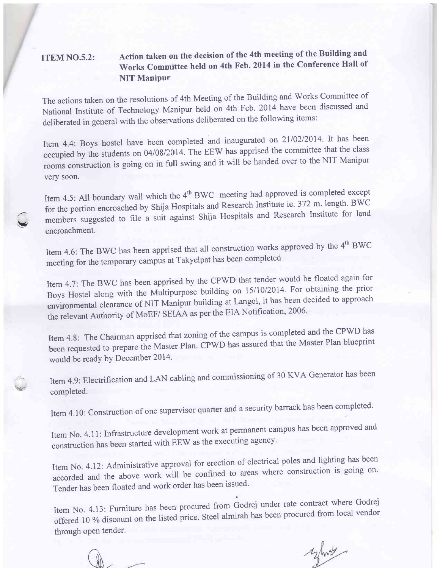### ITEM NO.5.2: Action taken on the decision of the 4th meeting of the Building and works committee held on 4th Feb. 2014 in the conference Hall of NIT Manipur

The actions taken on the resolutions of 4th Meeting of the Building and Works Committee of National Institute of Technology Manipur held on 4th Feb. 2014 have been discussed and deliberated in general with the observations deliberated on the following items:

Item 4.4: Boys hostel have been completed and inaugurated on 21/02/2014. It has been occupied by the students on 04/08/2014. The EEW has apprised the committee that the class rooms construction is going on in full swing and it will be handed over to the NIT Manipur very soon.

Item 4.5: All boundary wall which the 4<sup>th</sup> BWC meeting had approved is completed except for the portion encroached by Shija Hospitals and Research Institute ie. 372 m. length. BWC members suggested to file a suit against Shija Hospitals and Research Institute for land encroachment.

Item 4.6: The BWC has been apprised that all construction works approved by the  $4<sup>th</sup> BWC$ meeting for the temporary campus at Takyelpat has been completed

Item 4.7: The BWC has been apprised by the CPWD that tender would be floated again for Boys Hostel along with the Multipurpose building on 15/10/2014. For obtaining the prior environmental clearance of NIT Manipur building at Langol, it has been decided to approach the relevant Authority of MoEF/ SEIAA as per the EIA Notification, 2006.

Item 4.8: The Chairman apprised that zoning of the campus is completed and the CPWD has been requested to prepare the Master Plan. CPWD has assured that the Master Plan blueprint would be ready by December 2014.

Item 4.9: Electrification and LAN cabling and commissioning of 30 KVA Generator has been completed.

Item 4.10: Construction of one supervisor quarter and a security barrack has been completed.

Item No. 4.11: Infrastructure development work at permanent campus has been approved and construction has been started with EEW as the executing agency.

Item No. 4.12: Administrative approval for erection of electrical poles and lighting has been accorded and the above work will be confined to areas where construction is going on. Tender has been floated and work order has been issued.

Item No. 4.13: Furniture has been procured from Godrej under rate contract where Godrej offered 10 % discount on the listed price. Steel almirah has been procured from local vendor through open tender.

 $\mathbb{A}$ 

./-  $\blacktriangleright$ 

 $\overline{\mathscr{C}}$ 

yhot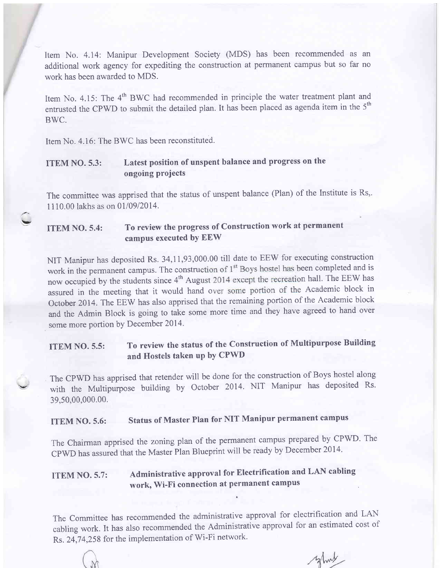Item No. 4.14: Manipur Development Society (MDS) has been recommended as an additional work agency for expediting the construction at permanent campus but so far no work has been awarded to MDS.

Item No. 4.15: The 4<sup>th</sup> BWC had recommended in principle the water treatment plant and entrusted the CPWD to submit the detailed plan. It has been placed as agenda item in the  $5<sup>th</sup>$ BWC.

Item No. 4.16: The BWC has been reconstituted.

!|

 $\ddot{\phantom{0}}$ 

#### ITEM NO. 5.3: Latest position of unspent balance and progress on the ongoing projects

The committee was apprised that the status of unspent balance (Plan) of the Institute is Rs,. 1110.00 lakhs as on 01/09/2014.

### ITEM NO. 5.4: To review the progress of Construction work at permanent campus executed bY EEW

NIT Manipur has deposited Rs. 34,11,93,000.00 till date to EEW for executing construction work in the permanent campus. The construction of 1<sup>\*</sup> Boys hostel has been completed and is<br>now occupied by the students since 4<sup>th</sup> August 2014 except the recreation hall. The EEW has work in the permanent campus. The construction of 1<sup>st</sup> Boys hostel has been completed and is assured in the meeting that it would hand over some portion of the Academic block in October 2014. The EEW has also apprised that the remaining portion of the Academic block and the Admin Block is going to take some more time and they have agreed to hand over some more portion by December 2014.

ITEM NO. 5.5: To review the status of the Construction of Multipurpose Building and Hostels taken up by CPWD

The CpWD has apprised that retender will be done for the construction of Boys hostel along with the Multipurpose building by October 2014. NIT Manipur has deposited Rs. 39,50,00,000.00.

# ITEM NO. 5.6: Status of Master Plan for NIT Manipur permanent campus

The Chairman apprised the zoning plan of the permanent campus prepared by CPWD. The cPwD has assured that the Master Plan Blueprint will be ready by December 2014'

## ITEM NO. 5.7: Administrative approvat for Electrification and LAN cabling work, Wi-Fi connection at permanent campus

The Committee has recommended the administrative approval for electrification and LAN cabling work. It has also recommended the Administrative approval for an estimated cost of Rs. 24,74,258 for the implementation of Wi-Fi network.

why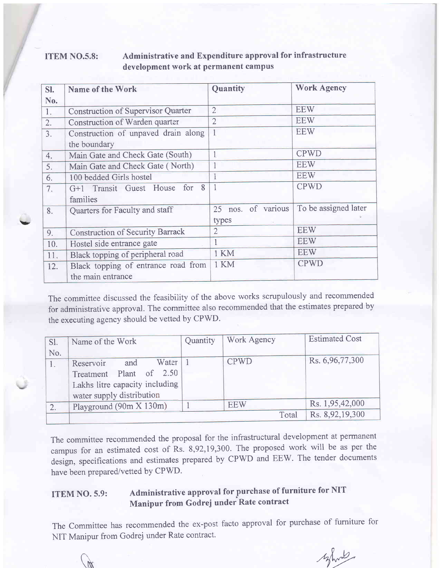#### ITEM NO.5.8: Administrative and Expenditure approval for infrastructure development work at permanent campus

| SI. | Name of the Work                          | Quantity           | <b>Work Agency</b>   |
|-----|-------------------------------------------|--------------------|----------------------|
| No. |                                           |                    |                      |
| 1.  | <b>Construction of Supervisor Quarter</b> | $\overline{2}$     | <b>EEW</b>           |
| 2.  | Construction of Warden quarter            | $\overline{2}$     | <b>EEW</b>           |
| 3.  | Construction of unpaved drain along       | $\overline{1}$     | <b>EEW</b>           |
|     | the boundary                              |                    |                      |
| 4.  | Main Gate and Check Gate (South)          | $\overline{1}$     | <b>CPWD</b>          |
| 5.  | Main Gate and Check Gate (North)          |                    | <b>EEW</b>           |
| 6.  | 100 bedded Girls hostel                   |                    | <b>EEW</b>           |
| 7.  | G+1 Transit Guest House for 8             |                    | <b>CPWD</b>          |
|     | families                                  |                    |                      |
| 8.  | Quarters for Faculty and staff            | 25 nos. of various | To be assigned later |
|     |                                           | types              |                      |
| 9.  | <b>Construction of Security Barrack</b>   | $\overline{2}$     | <b>EEW</b>           |
| 10. | Hostel side entrance gate                 |                    | <b>EEW</b>           |
| 11. | Black topping of peripheral road          | 1 KM               | <b>EEW</b>           |
| 12. | Black topping of entrance road from       | 1 KM               | <b>CPWD</b>          |
|     | the main entrance                         |                    |                      |

v

The committee discussed the feasibility of the above works scrupulously and recommended for administrative approval. The committee also recommended that the estimates prepared by the executing agency should be vetted by CPWD.

| Sl. | Name of the Work               | Quantity | Work Agency | <b>Estimated Cost</b> |
|-----|--------------------------------|----------|-------------|-----------------------|
| No. |                                |          |             |                       |
|     | Water<br>and<br>Reservoir      |          | <b>CPWD</b> | Rs. 6,96,77,300       |
|     | Treatment Plant of 2.50        |          |             |                       |
|     | Lakhs litre capacity including |          |             |                       |
|     | water supply distribution      |          |             |                       |
|     | Playground (90m X 130m)        |          | <b>EEW</b>  | Rs. 1,95,42,000       |
|     |                                |          | Total       | Rs. 8,92,19,300       |

The committee recommended the proposal for the infrastructural development at permanent campus for an estimated cost of Rs. 8,92,19,300. The proposed work will be as per the design, specifications and estimates prepared by CPWD and EEW. The tender documents have been prepared/vetted by CPWD.

### ITEM NO. 5.9: Administrative approval for purchase of furniture for NIT Manipur from Godrej under Rate contract

The Committee has recommended the ex-post facto approval for purchase of furniture for NIT Manipur from Godrej under Rate contract.

mpar nous cours and consider